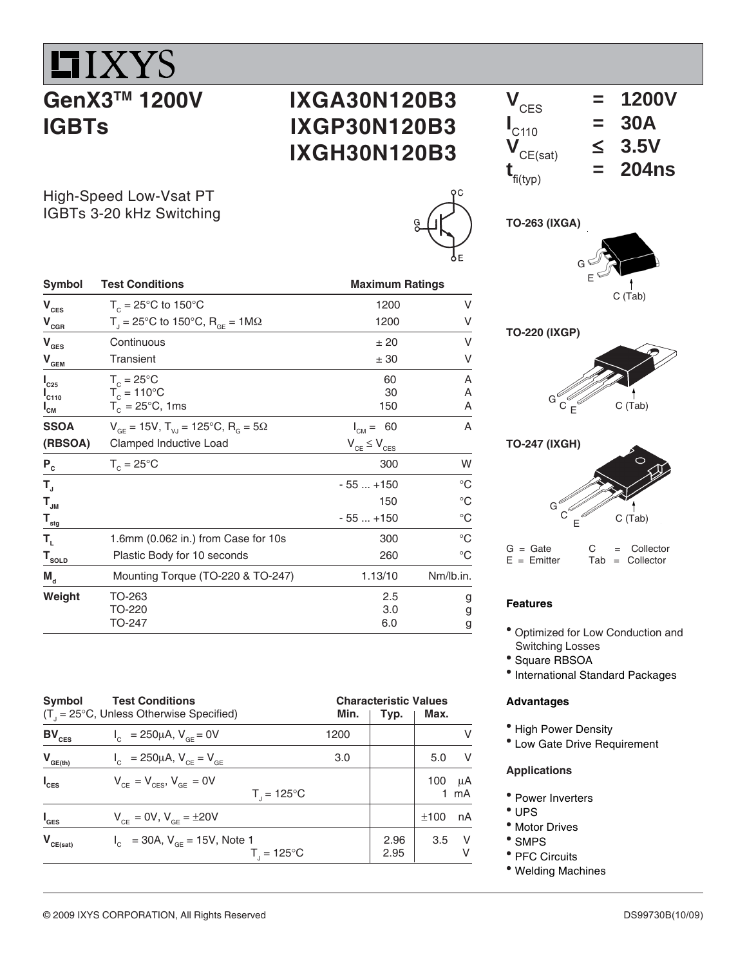# $II$ *XYS* **GenX3TM 1200V IGBTs**

### **IXGA30N120B3 IXGP30N120B3 IXGH30N120B3**

| $V_{\text{CES}}$              | $=$ | <b>1200V</b> |
|-------------------------------|-----|--------------|
| $\mathbf{I}_{C110}$           |     | <b>30A</b>   |
| $\bm{V}_{CE(sat)}$            |     | 3.5V         |
| $\mathbf{t}_{\text{fi(typ)}}$ |     | <b>204ns</b> |

High-Speed Low-Vsat PT IGBTs 3-20 kHz Switching

| Ć<br>ğ |
|--------|
| E      |



## **TO-220 (IXGP)**





 $G =$  Gate  $C =$  Collector  $E =$  Emitter Tab = Collector

#### **Features**

- Optimized for Low Conduction and Switching Losses
- <sup>•</sup> Square RBSOA
- International Standard Packages

#### **Advantages**

- High Power Density
- Low Gate Drive Requirement

#### **Applications**

- Power Inverters
- \* UPS
- Motor Drives
- SMPS
- PFC Circuits
- Welding Machines

| $\mathbf{V}_{\mathrm{CES}}$                        | $T_c = 25^{\circ}$ C to 150°C                                        | 1200                  | V           |
|----------------------------------------------------|----------------------------------------------------------------------|-----------------------|-------------|
| $\mathbf{V}_{\underbar{\text{c}}\xspace\text{GR}}$ | T <sub>i</sub> = 25°C to 150°C, R <sub>GE</sub> = 1M $\Omega$        | 1200                  | ٧           |
| $V_{\text{GES}}$                                   | Continuous                                                           | ± 20                  | V           |
| $\mathbf{V}_{\underline{\mathbf{GEM}}}$            | Transient                                                            | ± 30                  | ٧           |
| $I_{C25}$                                          | $T_c = 25^{\circ}$ C                                                 | 60                    | Α           |
| $I_{C110}$                                         | $T_c = 110^{\circ}$ C                                                | 30                    | A           |
| " <sub>СМ</sub>                                    | $T_c = 25^{\circ}$ C, 1ms                                            | 150                   | A           |
| <b>SSOA</b>                                        | $V_{GF}$ = 15V, T <sub>VJ</sub> = 125°C, R <sub>G</sub> = 5 $\Omega$ | - 60<br>$I_{CM} =$    | A           |
| (RBSOA)                                            | Clamped Inductive Load                                               | $V_{CE} \leq V_{CES}$ |             |
| $P_c$                                              | $T_c = 25^{\circ}$ C                                                 | 300                   | W           |
| $T_{\rm J}$                                        |                                                                      | $-55+150$             | $^{\circ}C$ |
| $\mathbf{T}_{_{\mathsf{J}\mathsf{M}}}$             |                                                                      | 150                   | $^{\circ}C$ |
| $T_{\underline{\text{stg}}}$                       |                                                                      | $-55+150$             | $^{\circ}C$ |
| T,                                                 | 1.6mm (0.062 in.) from Case for 10s                                  | 300                   | $^{\circ}C$ |
| $\mathbf{T}_{\texttt{SOLD}}$                       | Plastic Body for 10 seconds                                          | 260                   | $^{\circ}C$ |
| $M_{\rm d}$                                        | Mounting Torque (TO-220 & TO-247)                                    | 1.13/10               | Nm/lb.in.   |
| Weight                                             | TO-263                                                               | 2.5                   | g           |
|                                                    | TO-220                                                               | 3.0                   | g           |
|                                                    | TO-247                                                               | 6.0                   | g           |

**Symbol Test Conditions Conditions Conditions Conditions Conditions Conditions Conditions Conditions Conditions** 

| Symbol           | <b>Test Conditions</b><br>$(T1 = 25°C$ , Unless Otherwise Specified) | <b>Characteristic Values</b><br>Min.<br>Typ.<br>1200 |              |                    |  |
|------------------|----------------------------------------------------------------------|------------------------------------------------------|--------------|--------------------|--|
| $BV_{CES}$       | $I_c = 250 \mu A$ , $V_{cF} = 0V$                                    |                                                      |              | v                  |  |
| $V_{GE(th)}$     | $V_{\text{C}} = 250 \mu A, V_{\text{C}} = V_{\text{G}}$              | 3.0                                                  |              | $\vee$<br>5.0      |  |
| $I_{\text{CES}}$ | $V_{CF} = V_{CFS}$ , $V_{GF} = 0V$<br>$T_{1} = 125^{\circ}C$         |                                                      |              | μA<br>100<br>mA    |  |
| $I_{\text{GES}}$ | $V_{CF} = 0V$ , $V_{CF} = \pm 20V$                                   |                                                      |              | nA<br>±100         |  |
| $V_{CE(sat)}$    | $I_c$ = 30A, $V_{c}$ = 15V, Note 1<br>$T_{1} = 125^{\circ}C$         |                                                      | 2.96<br>2.95 | $\vee$<br>3.5<br>V |  |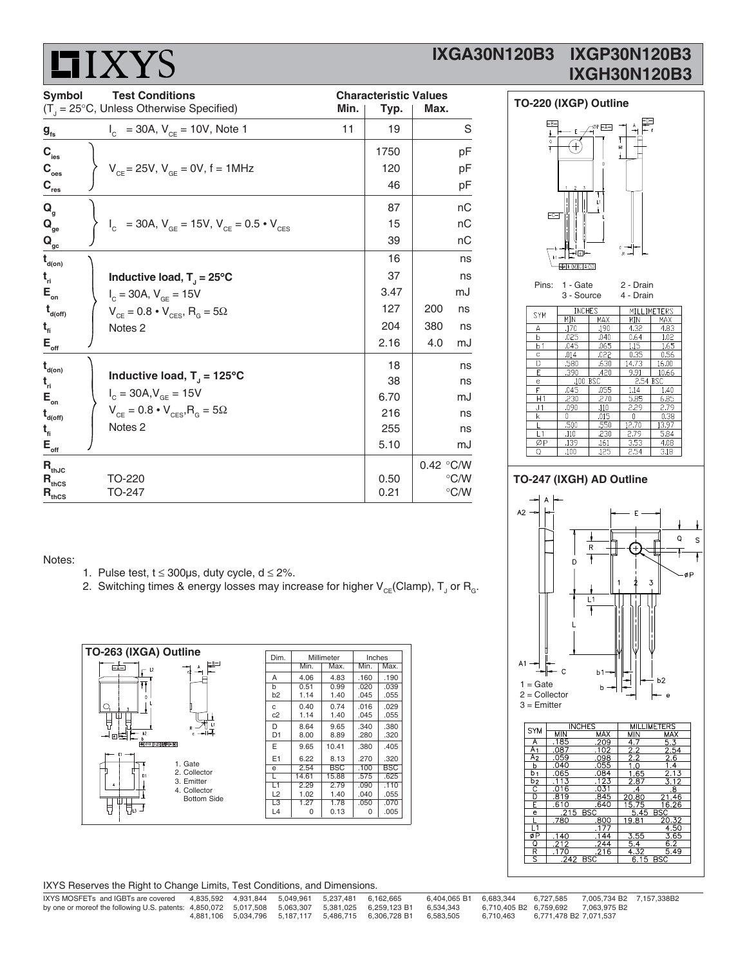# **HIXYS**

### **IXGA30N120B3 IXGP30N120B3 IXGH30N120B3**

| <b>Symbol</b><br><b>Test Conditions</b> |  |                                                               |      |      | <b>Characteristic Values</b> |               |  |  |
|-----------------------------------------|--|---------------------------------------------------------------|------|------|------------------------------|---------------|--|--|
|                                         |  | $(T_{j} = 25^{\circ}C,$ Unless Otherwise Specified)           | Min. | Typ. | Max.                         |               |  |  |
| $g_{\rm fs}$                            |  | $I_c$ = 30A, $V_{ce}$ = 10V, Note 1                           | 11   | 19   |                              | S             |  |  |
| $\mathbf{C}_{_{\text{ies}}}$            |  |                                                               |      | 1750 |                              | pF            |  |  |
| $\mathbf{C}_{_{\mathrm{oes}}}$          |  | $V_{CF}$ = 25V, $V_{GF}$ = 0V, f = 1MHz                       |      | 120  |                              | pF            |  |  |
| $\mathbf{C}_{\mathrm{res}}$             |  |                                                               |      | 46   |                              | pF            |  |  |
| $Q_{q}$                                 |  |                                                               |      | 87   |                              | nC            |  |  |
| $\mathbf{Q}_{_{\mathbf{ge}}}$           |  | $I_c$ = 30A, $V_{GE}$ = 15V, $V_{CE}$ = 0.5 $\cdot$ $V_{CES}$ |      | 15   |                              | пC            |  |  |
| $\mathbf{Q}_{\underline{\mathrm{gc}}}$  |  |                                                               |      | 39   |                              | nС            |  |  |
| $t_{\text{\tiny d(0n)}}$                |  |                                                               |      | 16   |                              | ns            |  |  |
| $t_{ri}$                                |  | Inductive load, $T_1 = 25^{\circ}C$                           |      | 37   |                              | ns            |  |  |
| $\mathsf{E}_{_{\sf on}}$                |  | $I_c = 30A$ , $V_{GE} = 15V$                                  |      | 3.47 |                              | mJ            |  |  |
| $t_{\text{\tiny{d(off)}}}$              |  | $V_{CE} = 0.8 \cdot V_{CES}$ , R <sub>G</sub> = 5 $\Omega$    |      | 127  | 200                          | ns            |  |  |
| $t_{fi}$                                |  | Notes <sub>2</sub>                                            |      | 204  | 380                          | ns            |  |  |
| $\mathsf{E}_{\mathsf{off}}$             |  |                                                               |      | 2.16 | 4.0                          | mJ            |  |  |
| $t_{\text{\tiny d(0n)}}$                |  |                                                               |      | 18   |                              | ns            |  |  |
| $t_{ri}$                                |  | Inductive load, $T_{\parallel}$ = 125°C                       |      | 38   |                              | ns            |  |  |
| $\mathsf{E}_{_{\sf on}}$                |  | $I_c = 30A, V_{GE} = 15V$                                     |      | 6.70 |                              | mJ            |  |  |
| $t_{\text{\tiny d(off)}}$               |  | $V_{CE} = 0.8 \cdot V_{CES}$ , $R_{G} = 5\Omega$              |      | 216  |                              | ns            |  |  |
| $t_{fi}$                                |  | Notes <sub>2</sub>                                            |      | 255  |                              | ns            |  |  |
| $\mathsf{E}_{\mathsf{off}}$             |  |                                                               |      | 5.10 |                              | mJ            |  |  |
| $\mathbf{R}_{\text{thJC}}$              |  |                                                               |      |      | 0.42 °C/W                    |               |  |  |
| $R_{\text{thCS}}$                       |  | TO-220                                                        |      | 0.50 |                              | $\degree$ C/W |  |  |
| $R_{thcs}$                              |  | TO-247                                                        |      | 0.21 |                              | $\degree$ C/W |  |  |



#### $390$ .420  $9.91$ 100  $H1$  $\overline{J1}$ .090 .500  $\frac{.110}{.139}$ <br> $\frac{.139}{.100}$  $\frac{L}{\varphi P}$  $16<sup>2</sup>$ 4.08  $\mathsf Q$ .125

#### **TO-247 (IXGH) AD Outline**

Notes:

- 1. Pulse test,  $t \le 300\mu s$ , duty cycle,  $d \le 2\%$ .
- 2. Switching times & energy losses may increase for higher  $\mathsf{V}_{\mathsf{CE}}$ (Clamp),  $\mathsf{T}_{\mathsf{J}}$  or  $\mathsf{R}_{\mathsf{G}}$ .



| IXYS Reserves the Right to Change Limits, Test Conditions, and Dimensions. |  |  |
|----------------------------------------------------------------------------|--|--|
|                                                                            |  |  |

| IXYS MOSFETs and IGBTs are covered                                                                |  | 4.835.592  4.931.844  5.049.961  5.237.481  6.162.665 |                                                                | 6.404.065 B1 6.683.344 |                                  | 6.727.585 | 7.005.734 B2 7.157.338B2                  |  |
|---------------------------------------------------------------------------------------------------|--|-------------------------------------------------------|----------------------------------------------------------------|------------------------|----------------------------------|-----------|-------------------------------------------|--|
| by one or moreof the following U.S. patents: 4,850,072 5,017,508 5,063,307 5,381,025 6,259,123 B1 |  |                                                       |                                                                | 6.534.343              |                                  |           | 6,710,405 B2    6,759,692    7,063,975 B2 |  |
|                                                                                                   |  |                                                       | 4,881,106 5,034,796 5,187,117 5,486,715 6,306,728 B1 6,583,505 |                        | 6.710.463 6.771.478 B2 7.071.537 |           |                                           |  |



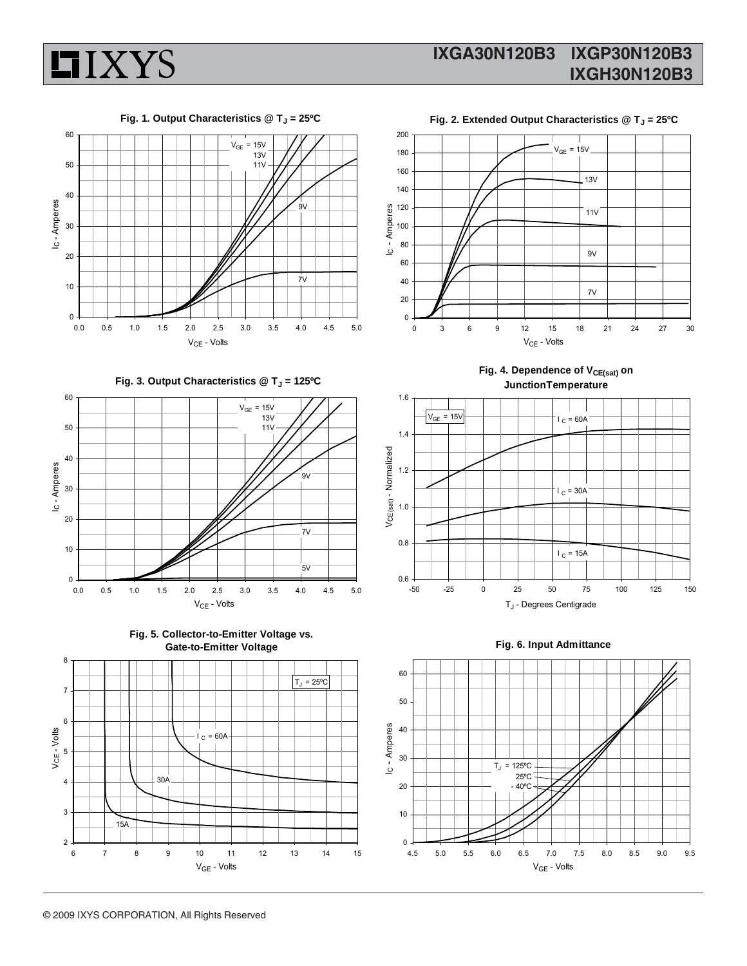







Fig. 3. Output Characteristics @ T<sub>J</sub> = 125°C















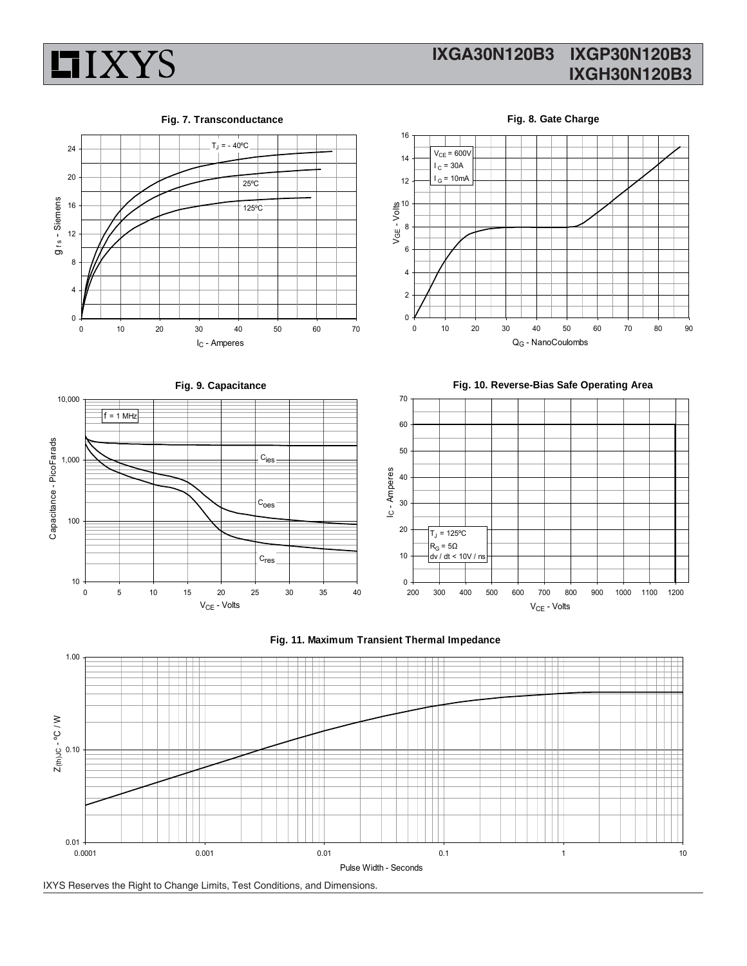

### **IXGA30N120B3 IXGP30N120B3 IXGH30N120B3**





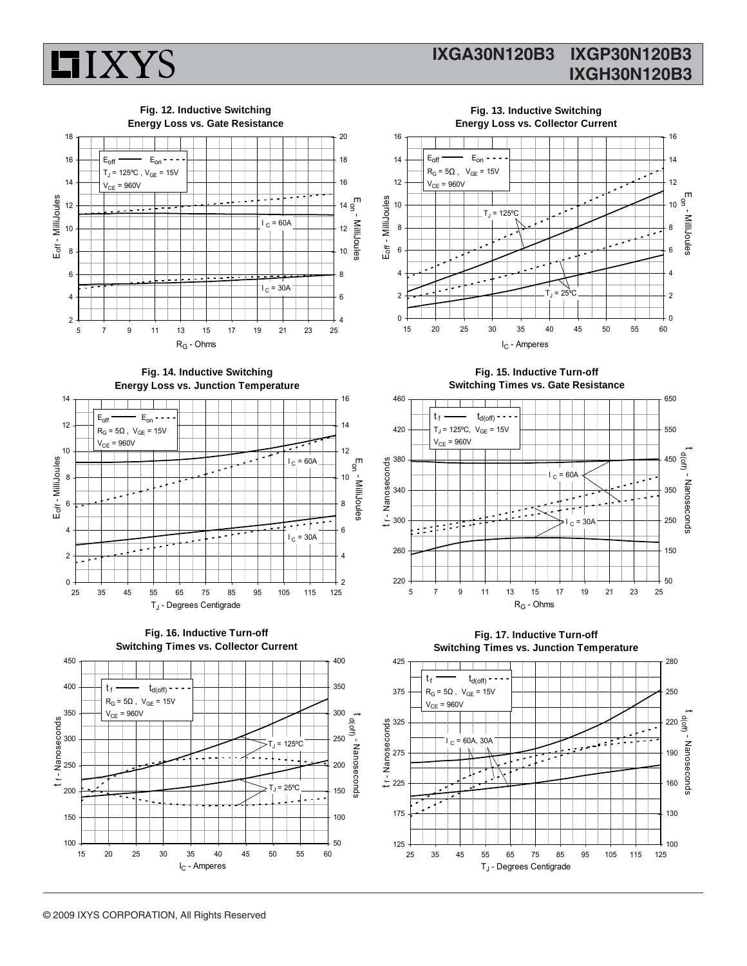

### **IXGA30N120B3 IXGP30N120B3 IXGH30N120B3**



**Fig. 14. Inductive Switching Energy Loss vs. Junction Temperature**

**Fig. 12. Inductive Switching**







**Fig. 15. Inductive Turn-off Switching Times vs. Gate Resistance**

Eon - MilliJoules

MiliJoules